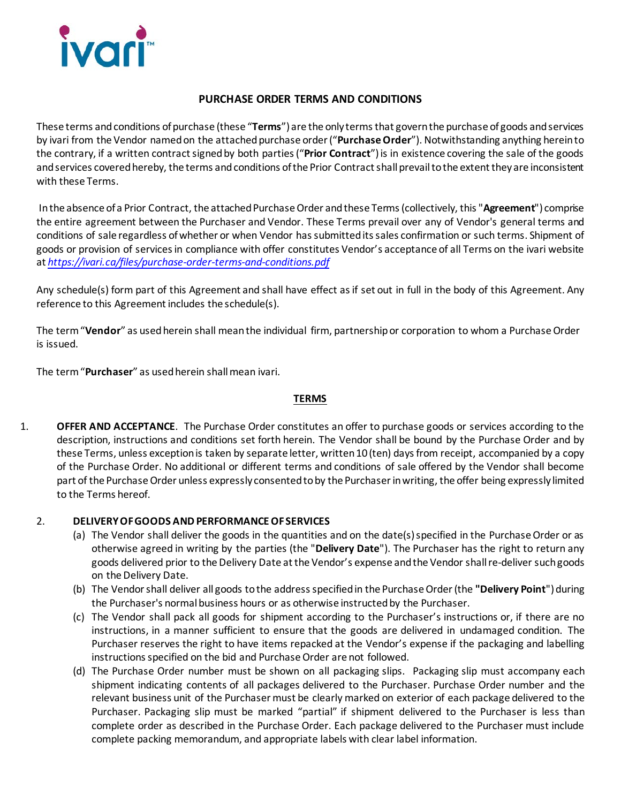

## **PURCHASE ORDER TERMS AND CONDITIONS**

These terms and conditions of purchase (these "**Terms**") are the only terms that govern the purchase of goods and services by ivari from the Vendor named on the attached purchase order("**Purchase Order**"). Notwithstanding anything herein to the contrary, if a written contract signed by both parties ("**Prior Contract**") is in existence covering the sale of the goods and services covered hereby, the terms and conditions of the Prior Contractshall prevail to the extent they are inconsistent with these Terms.

In the absence of a Prior Contract, the attached Purchase Order and these Terms (collectively, this "Agreement") comprise the entire agreement between the Purchaser and Vendor. These Terms prevail over any of Vendor's general terms and conditions of sale regardless ofwhether or when Vendor has submitted its sales confirmation or such terms. Shipment of goods or provision of services in compliance with offer constitutes Vendor's acceptance of all Terms on the ivari website at *<https://ivari.ca/files/purchase-order-terms-and-conditions.pdf>*

Any schedule(s) form part of this Agreement and shall have effect as if set out in full in the body of this Agreement. Any reference to this Agreement includes the schedule(s).

The term "**Vendor**" as used herein shall mean the individual firm, partnership or corporation to whom a Purchase Order is issued.

The term "**Purchaser**" as used herein shall mean ivari.

### **TERMS**

1. **OFFER AND ACCEPTANCE**. The Purchase Order constitutes an offer to purchase goods or services according to the description, instructions and conditions set forth herein. The Vendor shall be bound by the Purchase Order and by these Terms, unless exception is taken by separate letter, written 10 (ten) days from receipt, accompanied by a copy of the Purchase Order. No additional or different terms and conditions of sale offered by the Vendor shall become part of the Purchase Order unless expressly consented to by the Purchaserin writing, the offer being expressly limited to the Terms hereof.

## 2. **DELIVERY OF GOODS AND PERFORMANCE OF SERVICES**

- (a) The Vendor shall deliver the goods in the quantities and on the date(s) specified in the Purchase Order or as otherwise agreed in writing by the parties (the "**Delivery Date**"). The Purchaser has the right to return any goods delivered prior to the Delivery Date atthe Vendor's expense and the Vendor shall re-deliver such goods on the Delivery Date.
- (b) The Vendorshall deliver all goods to the address specified in the Purchase Order (the **"Delivery Point**") during the Purchaser's normal business hours or as otherwise instructed by the Purchaser.
- (c) The Vendor shall pack all goods for shipment according to the Purchaser's instructions or, if there are no instructions, in a manner sufficient to ensure that the goods are delivered in undamaged condition. The Purchaser reserves the right to have items repacked at the Vendor's expense if the packaging and labelling instructions specified on the bid and Purchase Order are not followed.
- (d) The Purchase Order number must be shown on all packaging slips. Packaging slip must accompany each shipment indicating contents of all packages delivered to the Purchaser. Purchase Order number and the relevant business unit of the Purchaser must be clearly marked on exterior of each package delivered to the Purchaser. Packaging slip must be marked "partial" if shipment delivered to the Purchaser is less than complete order as described in the Purchase Order. Each package delivered to the Purchaser must include complete packing memorandum, and appropriate labels with clear label information.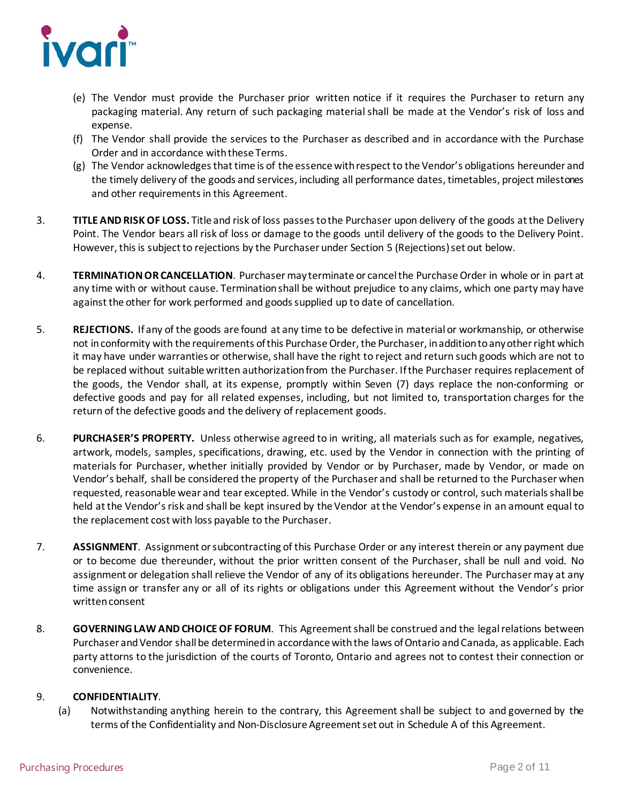

- (e) The Vendor must provide the Purchaser prior written notice if it requires the Purchaser to return any packaging material. Any return of such packaging material shall be made at the Vendor's risk of loss and expense.
- (f) The Vendor shall provide the services to the Purchaser as described and in accordance with the Purchase Order and in accordance with these Terms.
- (g) The Vendor acknowledges that time is of the essence with respect to the Vendor's obligations hereunder and the timely delivery of the goods and services, including all performance dates, timetables, project milestones and other requirements in this Agreement.
- 3. **TITLE AND RISK OF LOSS.** Title and risk of loss passes to the Purchaser upon delivery of the goods at the Delivery Point. The Vendor bears all risk of loss or damage to the goods until delivery of the goods to the Delivery Point. However, this is subject to rejections by the Purchaser under Section 5 (Rejections) set out below.
- 4. **TERMINATION OR CANCELLATION**. Purchaser may terminate or cancel the PurchaseOrder in whole or in part at any time with or without cause. Termination shall be without prejudice to any claims, which one party may have against the other for work performed and goods supplied up to date of cancellation.
- 5. **REJECTIONS.** If any of the goods are found at any time to be defective in material or workmanship, or otherwise not in conformity with the requirements of this Purchase Order, the Purchaser, in addition to any other right which it may have under warranties or otherwise, shall have the right to reject and return such goods which are not to be replaced without suitable written authorization from the Purchaser. If the Purchaser requires replacement of the goods, the Vendor shall, at its expense, promptly within Seven (7) days replace the non-conforming or defective goods and pay for all related expenses, including, but not limited to, transportation charges for the return of the defective goods and the delivery of replacement goods.
- 6. **PURCHASER'S PROPERTY.** Unless otherwise agreed to in writing, all materials such as for example, negatives, artwork, models, samples, specifications, drawing, etc. used by the Vendor in connection with the printing of materials for Purchaser, whether initially provided by Vendor or by Purchaser, made by Vendor, or made on Vendor's behalf, shall be considered the property of the Purchaser and shall be returned to the Purchaser when requested, reasonable wear and tear excepted. While in the Vendor's custody or control, such materials shall be held at the Vendor's risk and shall be kept insured by the Vendor at the Vendor's expense in an amount equal to the replacement cost with loss payable to the Purchaser.
- 7. **ASSIGNMENT**. Assignment or subcontracting of this Purchase Order or any interest therein or any payment due or to become due thereunder, without the prior written consent of the Purchaser, shall be null and void. No assignment or delegation shall relieve the Vendor of any of its obligations hereunder. The Purchaser may at any time assign or transfer any or all of its rights or obligations under this Agreement without the Vendor's prior written consent
- 8. **GOVERNING LAW AND CHOICE OF FORUM**. This Agreement shall be construed and the legal relations between Purchaser and Vendor shall be determined in accordance with the laws of Ontario and Canada, as applicable. Each party attorns to the jurisdiction of the courts of Toronto, Ontario and agrees not to contest their connection or convenience.

### 9. **CONFIDENTIALITY**.

(a) Notwithstanding anything herein to the contrary, this Agreement shall be subject to and governed by the terms of the Confidentiality and Non-Disclosure Agreement set out in Schedule A of this Agreement.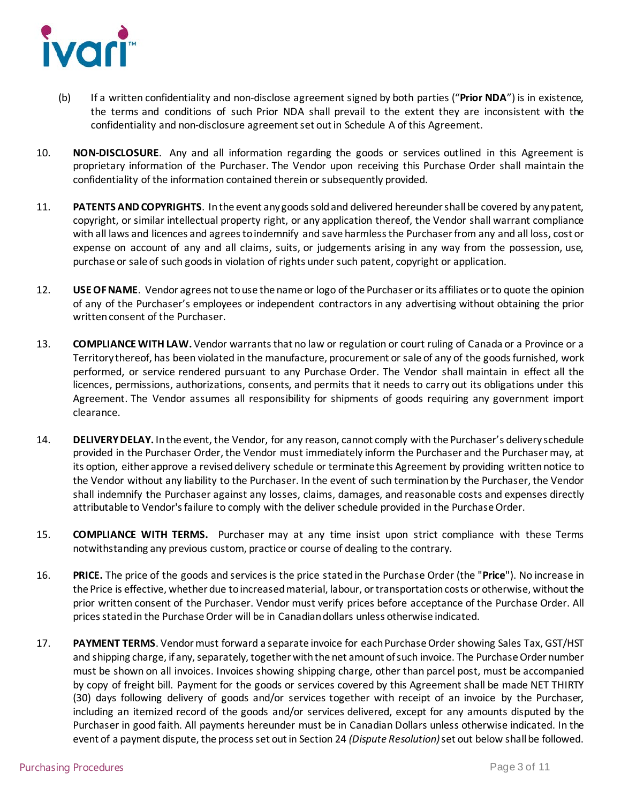

- (b) If a written confidentiality and non-disclose agreement signed by both parties ("**Prior NDA**") is in existence, the terms and conditions of such Prior NDA shall prevail to the extent they are inconsistent with the confidentiality and non-disclosure agreement set out in Schedule A of this Agreement.
- 10. **NON-DISCLOSURE**. Any and all information regarding the goods or services outlined in this Agreement is proprietary information of the Purchaser. The Vendor upon receiving this Purchase Order shall maintain the confidentiality of the information contained therein or subsequently provided.
- 11. **PATENTS AND COPYRIGHTS**. In the event any goods sold and delivered hereunder shall be covered by any patent, copyright, or similar intellectual property right, or any application thereof, the Vendor shall warrant compliance with all laws and licences and agrees to indemnify and save harmless the Purchaser from any and all loss, cost or expense on account of any and all claims, suits, or judgements arising in any way from the possession, use, purchase or sale of such goods in violation of rights under such patent, copyright or application.
- 12. **USE OF NAME**. Vendor agrees not to use the name or logo of the Purchaser or its affiliates or to quote the opinion of any of the Purchaser's employees or independent contractors in any advertising without obtaining the prior written consent of the Purchaser.
- 13. **COMPLIANCE WITH LAW.** Vendor warrants that no law or regulation or court ruling of Canada or a Province or a Territory thereof, has been violated in the manufacture, procurement or sale of any of the goods furnished, work performed, or service rendered pursuant to any Purchase Order. The Vendor shall maintain in effect all the licences, permissions, authorizations, consents, and permits that it needs to carry out its obligations under this Agreement. The Vendor assumes all responsibility for shipments of goods requiring any government import clearance.
- 14. **DELIVERY DELAY.** In the event, the Vendor, for any reason, cannot comply with the Purchaser's delivery schedule provided in the Purchaser Order, the Vendor must immediately inform the Purchaser and the Purchaser may, at its option, either approve a revised delivery schedule or terminate this Agreement by providing written notice to the Vendor without any liability to the Purchaser. In the event of such termination by the Purchaser, the Vendor shall indemnify the Purchaser against any losses, claims, damages, and reasonable costs and expenses directly attributable to Vendor's failure to comply with the deliver schedule provided in the Purchase Order.
- 15. **COMPLIANCE WITH TERMS.** Purchaser may at any time insist upon strict compliance with these Terms notwithstanding any previous custom, practice or course of dealing to the contrary.
- 16. **PRICE.** The price of the goods and services is the price stated in the Purchase Order (the "**Price**"). No increase in the Price is effective, whether due to increased material, labour, or transportation costs or otherwise, without the prior written consent of the Purchaser. Vendor must verify prices before acceptance of the Purchase Order. All prices stated in the Purchase Order will be in Canadian dollars unless otherwise indicated.
- 17. **PAYMENT TERMS**. Vendor must forward a separate invoice for each Purchase Order showing Sales Tax, GST/HST and shipping charge, if any, separately, together with the net amount of such invoice. The Purchase Order number must be shown on all invoices. Invoices showing shipping charge, other than parcel post, must be accompanied by copy of freight bill. Payment for the goods or services covered by this Agreement shall be made NET THIRTY (30) days following delivery of goods and/or services together with receipt of an invoice by the Purchaser, including an itemized record of the goods and/or services delivered, except for any amounts disputed by the Purchaser in good faith. All payments hereunder must be in Canadian Dollars unless otherwise indicated. In the event of a payment dispute, the process set out in Section 24 *(Dispute Resolution)*set out below shall be followed.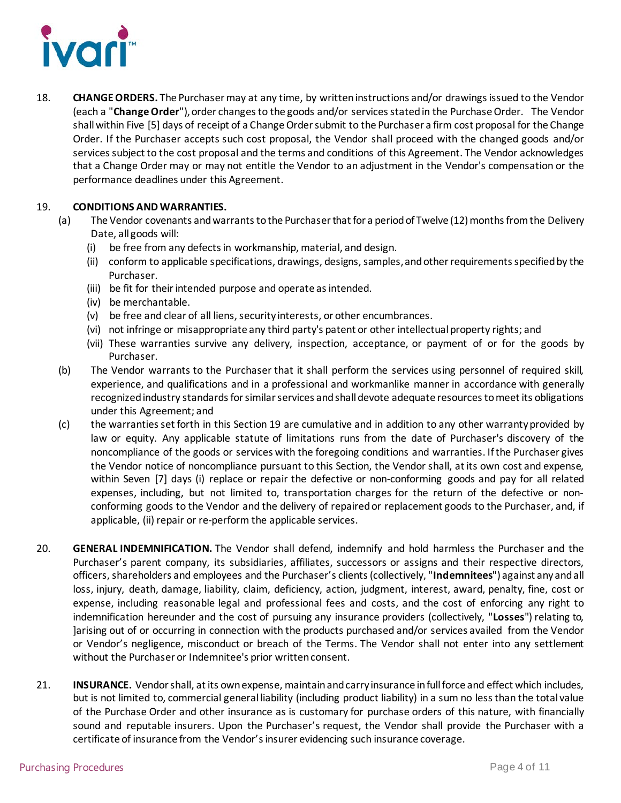

18. **CHANGE ORDERS.** The Purchasermay at any time, by written instructions and/or drawings issued to the Vendor (each a "**Change Order**"), order changes to the goods and/or services stated in the Purchase Order. The Vendor shall within Five [5] days of receipt of a Change Order submit to the Purchaser a firm cost proposal for the Change Order. If the Purchaser accepts such cost proposal, the Vendor shall proceed with the changed goods and/or services subject to the cost proposal and the terms and conditions of this Agreement. The Vendor acknowledges that a Change Order may or may not entitle the Vendor to an adjustment in the Vendor's compensation or the performance deadlines under this Agreement.

### 19. **CONDITIONS AND WARRANTIES.**

- (a) The Vendor covenants and warrants to the Purchaser that for a period of Twelve (12) months from the Delivery Date, all goods will:
	- (i) be free from any defects in workmanship, material, and design.
	- (ii) conform to applicable specifications, drawings, designs, samples, and other requirementsspecified by the Purchaser.
	- (iii) be fit for their intended purpose and operate as intended.
	- (iv) be merchantable.
	- (v) be free and clear of all liens, security interests, or other encumbrances.
	- (vi) not infringe or misappropriate any third party's patent or other intellectual property rights; and
	- (vii) These warranties survive any delivery, inspection, acceptance, or payment of or for the goods by Purchaser.
	- (b) The Vendor warrants to the Purchaser that it shall perform the services using personnel of required skill, experience, and qualifications and in a professional and workmanlike manner in accordance with generally recognized industry standards for similar services and shall devote adequate resources to meet its obligations under this Agreement; and
	- (c) the warranties set forth in this Section 19 are cumulative and in addition to any other warranty provided by law or equity. Any applicable statute of limitations runs from the date of Purchaser's discovery of the noncompliance of the goods or services with the foregoing conditions and warranties. If the Purchaser gives the Vendor notice of noncompliance pursuant to this Section, the Vendor shall, at its own cost and expense, within Seven [7] days (i) replace or repair the defective or non-conforming goods and pay for all related expenses, including, but not limited to, transportation charges for the return of the defective or nonconforming goods to the Vendor and the delivery of repaired or replacement goods to the Purchaser, and, if applicable, (ii) repair or re-perform the applicable services.
- 20. **GENERAL INDEMNIFICATION.** The Vendor shall defend, indemnify and hold harmless the Purchaser and the Purchaser's parent company, its subsidiaries, affiliates, successors or assigns and their respective directors, officers, shareholders and employees and the Purchaser's clients (collectively, "**Indemnitees**") against any and all loss, injury, death, damage, liability, claim, deficiency, action, judgment, interest, award, penalty, fine, cost or expense, including reasonable legal and professional fees and costs, and the cost of enforcing any right to indemnification hereunder and the cost of pursuing any insurance providers (collectively, "**Losses**") relating to, ]arising out of or occurring in connection with the products purchased and/or services availed from the Vendor or Vendor's negligence, misconduct or breach of the Terms. The Vendor shall not enter into any settlement without the Purchaser or Indemnitee's prior written consent.
- 21. **INSURANCE.** Vendorshall, at its own expense, maintain and carry insurance in full force and effect which includes, but is not limited to, commercial general liability (including product liability) in a sum no less than the total value of the Purchase Order and other insurance as is customary for purchase orders of this nature, with financially sound and reputable insurers. Upon the Purchaser's request, the Vendor shall provide the Purchaser with a certificate of insurance from the Vendor'sinsurer evidencing such insurance coverage.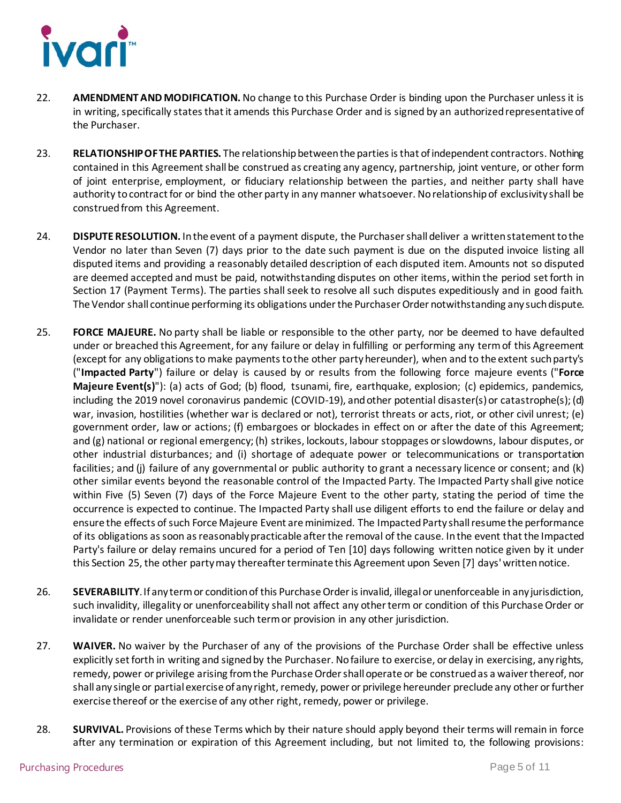

- 22. **AMENDMENT AND MODIFICATION.** No change to this Purchase Order is binding upon the Purchaser unless it is in writing, specifically states that it amends this Purchase Order and is signed by an authorized representative of the Purchaser.
- 23. **RELATIONSHIP OF THE PARTIES.** The relationship between the parties is that of independent contractors. Nothing contained in this Agreement shall be construed as creating any agency, partnership, joint venture, or other form of joint enterprise, employment, or fiduciary relationship between the parties, and neither party shall have authority to contract for or bind the other party in any manner whatsoever. No relationship of exclusivity shall be construed from this Agreement.
- 24. **DISPUTE RESOLUTION.** In the event of a payment dispute, the Purchaser shall deliver a written statement to the Vendor no later than Seven (7) days prior to the date such payment is due on the disputed invoice listing all disputed items and providing a reasonably detailed description of each disputed item. Amounts not so disputed are deemed accepted and must be paid, notwithstanding disputes on other items, within the period set forth in Section 17 (Payment Terms). The parties shall seek to resolve all such disputes expeditiously and in good faith. The Vendor shall continue performing its obligations under the PurchaserOrder notwithstanding any such dispute.
- <span id="page-4-0"></span>25. **FORCE MAJEURE.** No party shall be liable or responsible to the other party, nor be deemed to have defaulted under or breached this Agreement, for any failure or delay in fulfilling or performing any term of this Agreement (except for any obligations to make payments to the other party hereunder), when and to the extent such party's ("**Impacted Party**") failure or delay is caused by or results from the following force majeure events ("**Force Majeure Event(s)**"): (a) acts of God; (b) flood, tsunami, fire, earthquake, explosion; (c) epidemics, pandemics, including the 2019 novel coronavirus pandemic (COVID-19), and other potential disaster(s) or catastrophe(s); (d) war, invasion, hostilities (whether war is declared or not), terrorist threats or acts, riot, or other civil unrest; (e) government order, law or actions; (f) embargoes or blockades in effect on or after the date of this Agreement; and (g) national or regional emergency; (h) strikes, lockouts, labour stoppages or slowdowns, labour disputes, or other industrial disturbances; and (i) shortage of adequate power or telecommunications or transportation facilities; and (j) failure of any governmental or public authority to grant a necessary licence or consent; and (k) other similar events beyond the reasonable control of the Impacted Party. The Impacted Party shall give notice within Five (5) Seven (7) days of the Force Majeure Event to the other party, stating the period of time the occurrence is expected to continue. The Impacted Party shall use diligent efforts to end the failure or delay and ensure the effects of such Force Majeure Event are minimized. The Impacted Party shall resume the performance of its obligations as soon as reasonably practicable after the removal of the cause. In the event that the Impacted Party's failure or delay remains uncured for a period of Ten [10] days following written notice given by it under this [Section 2](#page-4-0)5, the other party may thereafter terminate this Agreement upon Seven [7] days' written notice.
- 26. **SEVERABILITY**. If any term or condition of this Purchase Order is invalid, illegalor unenforceable in any jurisdiction, such invalidity, illegality or unenforceability shall not affect any other term or condition of this Purchase Order or invalidate or render unenforceable such term or provision in any other jurisdiction.
- 27. **WAIVER.** No waiver by the Purchaser of any of the provisions of the Purchase Order shall be effective unless explicitly set forth in writing and signed by the Purchaser. No failure to exercise, or delay in exercising, any rights, remedy, power or privilege arising fromthe Purchase Order shall operate or be construed as a waiver thereof, nor shall any single or partial exercise of any right, remedy, power or privilege hereunder preclude any other or further exercise thereof or the exercise of any other right, remedy, power or privilege.
- 28. **SURVIVAL.** Provisions of these Terms which by their nature should apply beyond their terms will remain in force after any termination or expiration of this Agreement including, but not limited to, the following provisions: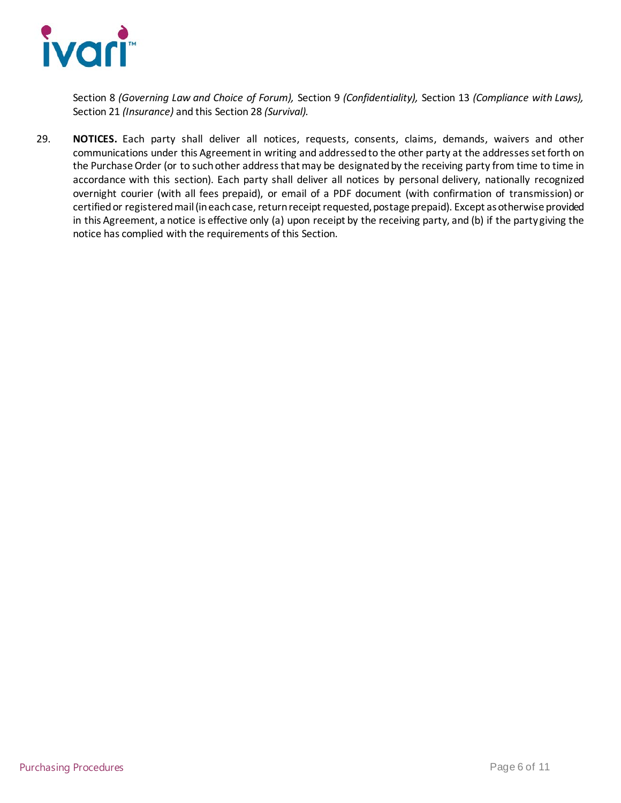

Section 8 *(Governing Law and Choice of Forum),* Section 9 *(Confidentiality),* Section 13 *(Compliance with Laws),* Section 21 *(Insurance)* and this Section 28 *(Survival).*

29. **NOTICES.** Each party shall deliver all notices, requests, consents, claims, demands, waivers and other communications under this Agreement in writing and addressed to the other party at the addresses set forth on the Purchase Order (or to such other address that may be designated by the receiving party from time to time in accordance with this section). Each party shall deliver all notices by personal delivery, nationally recognized overnight courier (with all fees prepaid), or email of a PDF document (with confirmation of transmission) or certified or registered mail (in each case, return receipt requested, postage prepaid). Except as otherwise provided in this Agreement, a notice is effective only (a) upon receipt by the receiving party, and (b) if the party giving the notice has complied with the requirements of this Section.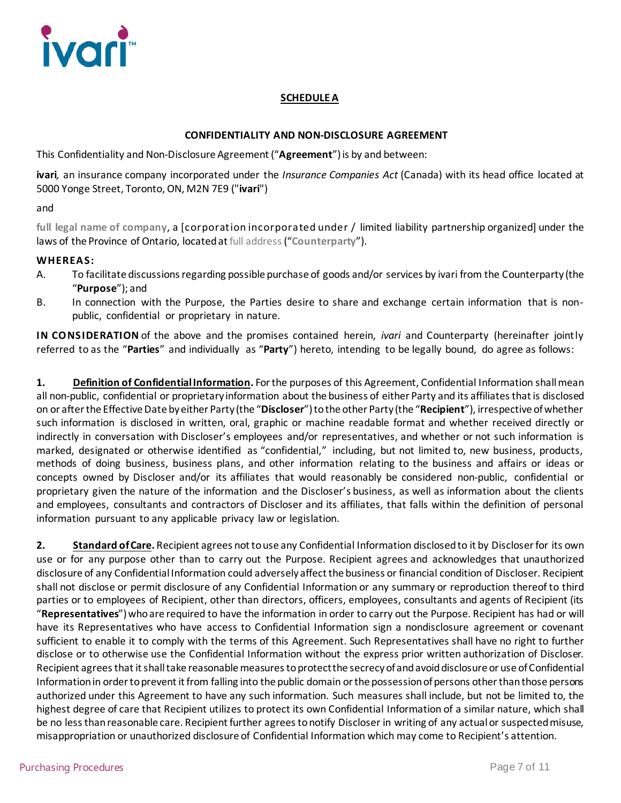

# **SCHEDULE A**

### **CONFIDENTIALITY AND NON-DISCLOSURE AGREEMENT**

This Confidentiality and Non-Disclosure Agreement ("**Agreement**") is by and between:

**ivari***,* an insurance company incorporated under the *Insurance Companies Act* (Canada) with its head office located at 5000 Yonge Street, Toronto, ON, M2N 7E9 ("**ivari**")

and

**full legal name of company**, a [corporation incorporated under / limited liability partnership organized] under the laws of the Province of Ontario, located at full address("**Counterparty**").

#### **WHEREAS:**

- A. To facilitate discussions regarding possible purchase of goods and/or services by ivari from the Counterparty (the "**Purpose**"); and
- B. In connection with the Purpose, the Parties desire to share and exchange certain information that is nonpublic, confidential or proprietary in nature.

**IN CONSIDERATION** of the above and the promises contained herein, *ivari* and Counterparty (hereinafter jointly referred to as the "**Parties**" and individually as "**Party**") hereto, intending to be legally bound, do agree as follows:

**1. Definition of Confidential Information.** For the purposes of this Agreement, Confidential Information shall mean all non-public, confidential or proprietary information about the business of either Party and its affiliates that is disclosed on or after the Effective Date by either Party (the "**Discloser**") to the other Party (the "**Recipient**"), irrespective of whether such information is disclosed in written, oral, graphic or machine readable format and whether received directly or indirectly in conversation with Discloser's employees and/or representatives, and whether or not such information is marked, designated or otherwise identified as "confidential," including, but not limited to, new business, products, methods of doing business, business plans, and other information relating to the business and affairs or ideas or concepts owned by Discloser and/or its affiliates that would reasonably be considered non-public, confidential or proprietary given the nature of the information and the Discloser's business, as well as information about the clients and employees, consultants and contractors of Discloser and its affiliates, that falls within the definition of personal information pursuant to any applicable privacy law or legislation.

**2. Standard of Care.** Recipient agrees not to use any Confidential Information disclosed to it by Discloserfor its own use or for any purpose other than to carry out the Purpose. Recipient agrees and acknowledges that unauthorized disclosure of any Confidential Information could adversely affect the business or financial condition of Discloser. Recipient shall not disclose or permit disclosure of any Confidential Information or any summary or reproduction thereof to third parties or to employees of Recipient, other than directors, officers, employees, consultants and agents of Recipient (its "**Representatives**") who are required to have the information in order to carry out the Purpose. Recipient has had or will have its Representatives who have access to Confidential Information sign a nondisclosure agreement or covenant sufficient to enable it to comply with the terms of this Agreement. Such Representatives shall have no right to further disclose or to otherwise use the Confidential Information without the express prior written authorization of Discloser. Recipient agrees that it shall take reasonable measures to protect the secrecy of and avoid disclosure or use of Confidential Information in order to prevent it from falling into the public domain or the possession of persons other than those persons authorized under this Agreement to have any such information. Such measures shall include, but not be limited to, the highest degree of care that Recipient utilizes to protect its own Confidential Information of a similar nature, which shall be no less than reasonable care. Recipient further agrees to notify Discloser in writing of any actual or suspected misuse, misappropriation or unauthorized disclosure of Confidential Information which may come to Recipient's attention.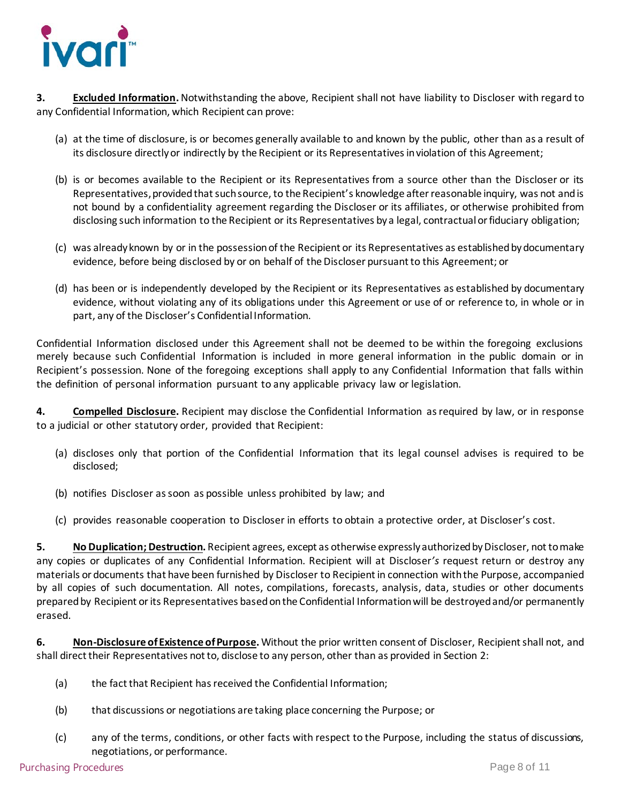

**3. Excluded Information.**Notwithstanding the above, Recipient shall not have liability to Discloser with regard to any Confidential Information, which Recipient can prove:

- (a) at the time of disclosure, is or becomes generally available to and known by the public, other than as a result of its disclosure directly or indirectly by the Recipient or its Representatives in violation of this Agreement;
- (b) is or becomes available to the Recipient or its Representatives from a source other than the Discloser or its Representatives, provided that such source, to the Recipient's knowledge after reasonable inquiry, was not and is not bound by a confidentiality agreement regarding the Discloser or its affiliates, or otherwise prohibited from disclosing such information to the Recipient or its Representatives by a legal, contractual or fiduciary obligation;
- (c) was already known by or in the possession of the Recipient or its Representatives as established by documentary evidence, before being disclosed by or on behalf of the Discloser pursuant to this Agreement; or
- (d) has been or is independently developed by the Recipient or its Representatives as established by documentary evidence, without violating any of its obligations under this Agreement or use of or reference to, in whole or in part, any of the Discloser's Confidential Information.

Confidential Information disclosed under this Agreement shall not be deemed to be within the foregoing exclusions merely because such Confidential Information is included in more general information in the public domain or in Recipient's possession. None of the foregoing exceptions shall apply to any Confidential Information that falls within the definition of personal information pursuant to any applicable privacy law or legislation.

**4. Compelled Disclosure.** Recipient may disclose the Confidential Information as required by law, or in response to a judicial or other statutory order, provided that Recipient:

- (a) discloses only that portion of the Confidential Information that its legal counsel advises is required to be disclosed;
- (b) notifies Discloser as soon as possible unless prohibited by law; and
- (c) provides reasonable cooperation to Discloser in efforts to obtain a protective order, at Discloser's cost.

**5. No Duplication; Destruction.** Recipient agrees, except as otherwise expressly authorized by Discloser, not to make any copies or duplicates of any Confidential Information. Recipient will at Discloser*'s* request return or destroy any materials or documents that have been furnished by Discloser to Recipient in connection with the Purpose, accompanied by all copies of such documentation. All notes, compilations, forecasts, analysis, data, studies or other documents prepared by Recipient or its Representatives based on the Confidential Information will be destroyed and/or permanently erased.

**6. Non-Disclosure of Existence of Purpose.** Without the prior written consent of Discloser, Recipient shall not, and shall direct their Representatives not to, disclose to any person, other than as provided in Section 2:

- (a) the fact that Recipient has received the Confidential Information;
- (b) that discussions or negotiations are taking place concerning the Purpose; or
- (c) any of the terms, conditions, or other facts with respect to the Purpose, including the status of discussions, negotiations, or performance.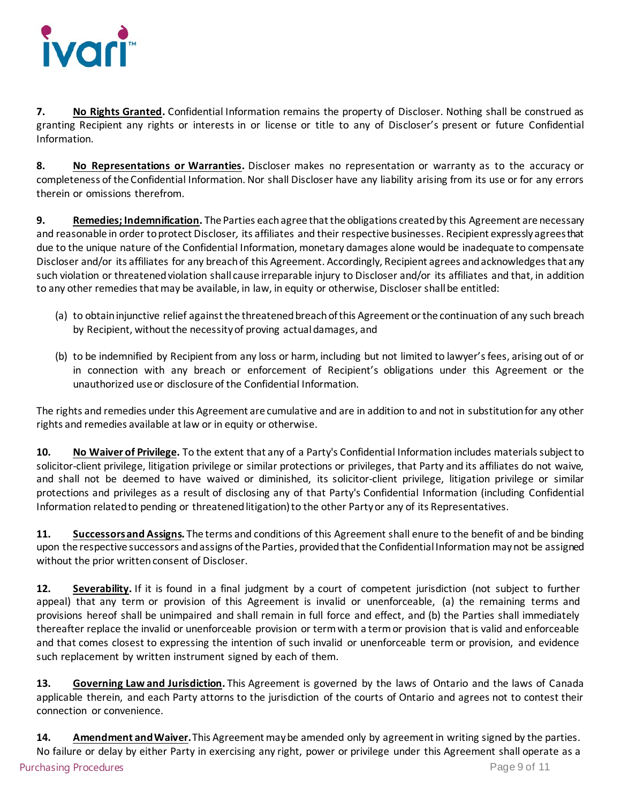

**7. No Rights Granted.** Confidential Information remains the property of Discloser. Nothing shall be construed as granting Recipient any rights or interests in or license or title to any of Discloser's present or future Confidential Information.

**8. No Representations or Warranties.** Discloser makes no representation or warranty as to the accuracy or completeness of the Confidential Information. Nor shall Discloser have any liability arising from its use or for any errors therein or omissions therefrom.

**9. Remedies; Indemnification.** The Parties each agree that the obligations created by this Agreement are necessary and reasonable in order to protect Discloser*,* its affiliates and their respective businesses. Recipient expressly agrees that due to the unique nature of the Confidential Information, monetary damages alone would be inadequate to compensate Discloser and/or its affiliates for any breach of this Agreement. Accordingly, Recipient agrees and acknowledges that any such violation or threatened violation shall cause irreparable injury to Discloser and/or its affiliates and that, in addition to any other remedies that may be available, in law, in equity or otherwise, Discloser shall be entitled:

- (a) to obtain injunctive relief against the threatened breach of this Agreement or the continuation of any such breach by Recipient, without the necessity of proving actual damages, and
- (b) to be indemnified by Recipient from any loss or harm, including but not limited to lawyer's fees, arising out of or in connection with any breach or enforcement of Recipient's obligations under this Agreement or the unauthorized use or disclosure of the Confidential Information.

The rights and remedies under this Agreement are cumulative and are in addition to and not in substitution for any other rights and remedies available at law or in equity or otherwise.

**10. No Waiver of Privilege.** To the extent that any of a Party's Confidential Information includes materials subject to solicitor-client privilege, litigation privilege or similar protections or privileges, that Party and its affiliates do not waive, and shall not be deemed to have waived or diminished, its solicitor-client privilege, litigation privilege or similar protections and privileges as a result of disclosing any of that Party's Confidential Information (including Confidential Information related to pending or threatened litigation) to the other Party or any of its Representatives.

**11. Successors and Assigns.** The terms and conditions of this Agreement shall enure to the benefit of and be binding upon the respective successors and assigns of the Parties, provided that the Confidential Information may not be assigned without the prior written consent of Discloser.

**12. Severability.** If it is found in a final judgment by a court of competent jurisdiction (not subject to further appeal) that any term or provision of this Agreement is invalid or unenforceable, (a) the remaining terms and provisions hereof shall be unimpaired and shall remain in full force and effect, and (b) the Parties shall immediately thereafter replace the invalid or unenforceable provision or term with a term or provision that is valid and enforceable and that comes closest to expressing the intention of such invalid or unenforceable term or provision, and evidence such replacement by written instrument signed by each of them.

**13. Governing Law and Jurisdiction.** This Agreement is governed by the laws of Ontario and the laws of Canada applicable therein, and each Party attorns to the jurisdiction of the courts of Ontario and agrees not to contest their connection or convenience.

Purchasing Procedures Page 9 of 11 **14. Amendment and Waiver.** This Agreement may be amended only by agreement in writing signed by the parties. No failure or delay by either Party in exercising any right, power or privilege under this Agreement shall operate as a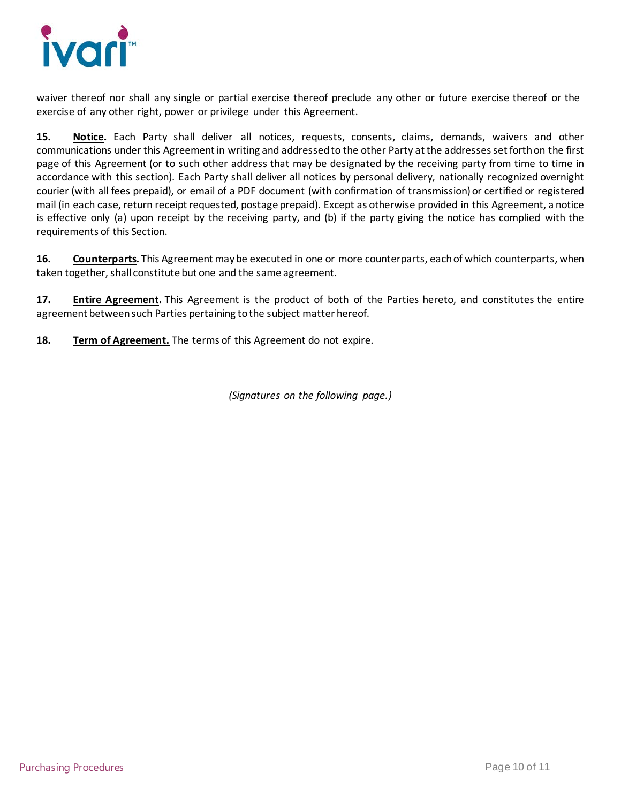

waiver thereof nor shall any single or partial exercise thereof preclude any other or future exercise thereof or the exercise of any other right, power or privilege under this Agreement.

**15. Notice.** Each Party shall deliver all notices, requests, consents, claims, demands, waivers and other communications under this Agreement in writing and addressed to the other Party at the addresses set forth on the first page of this Agreement (or to such other address that may be designated by the receiving party from time to time in accordance with this section). Each Party shall deliver all notices by personal delivery, nationally recognized overnight courier (with all fees prepaid), or email of a PDF document (with confirmation of transmission) or certified or registered mail (in each case, return receipt requested, postage prepaid). Except as otherwise provided in this Agreement, a notice is effective only (a) upon receipt by the receiving party, and (b) if the party giving the notice has complied with the requirements of this Section.

**16. Counterparts.** This Agreement may be executed in one or more counterparts, each of which counterparts, when taken together, shall constitute but one and the same agreement.

**17. Entire Agreement.** This Agreement is the product of both of the Parties hereto, and constitutes the entire agreement between such Parties pertaining to the subject matter hereof.

**18. Term of Agreement.** The terms of this Agreement do not expire.

*(Signatures on the following page.)*